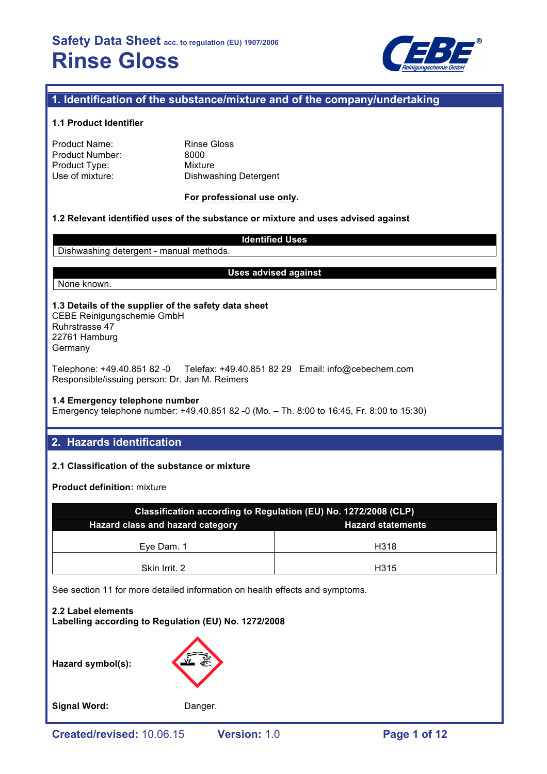

# **1. Identification of the substance/mixture and of the company/undertaking**

#### **1.1 Product Identifier**

| Product Name:   |  |
|-----------------|--|
| Product Number: |  |
| Product Type:   |  |
| Use of mixture: |  |

Rinse Gloss 8000 **Mixture** Dishwashing Detergent

#### **For professional use only.**

# **1.2 Relevant identified uses of the substance or mixture and uses advised against**

#### **Identified Uses**

Dishwashing detergent - manual methods.

#### **Uses advised against**

None known.

# **1.3 Details of the supplier of the safety data sheet**

CEBE Reinigungschemie GmbH Ruhrstrasse 47 22761 Hamburg Germany

Telephone: +49.40.851 82 -0 Telefax: +49.40.851 82 29 Email: info@cebechem.com Responsible/issuing person: Dr. Jan M. Reimers

#### **1.4 Emergency telephone number**

Emergency telephone number: +49.40.851 82 -0 (Mo. – Th. 8:00 to 16:45, Fr. 8:00 to 15:30)

# **2. Hazards identification**

# **2.1 Classification of the substance or mixture**

**Product definition:** mixture

| Classification according to Regulation (EU) No. 1272/2008 (CLP) |      |  |  |  |
|-----------------------------------------------------------------|------|--|--|--|
| Hazard class and hazard category<br><b>Hazard statements</b>    |      |  |  |  |
| Eve Dam, 1                                                      | H318 |  |  |  |
| Skin Irrit. 2                                                   | H315 |  |  |  |

See section 11 for more detailed information on health effects and symptoms.

**2.2 Label elements Labelling according to Regulation (EU) No. 1272/2008**

**Hazard symbol(s):**



Signal Word: Danger.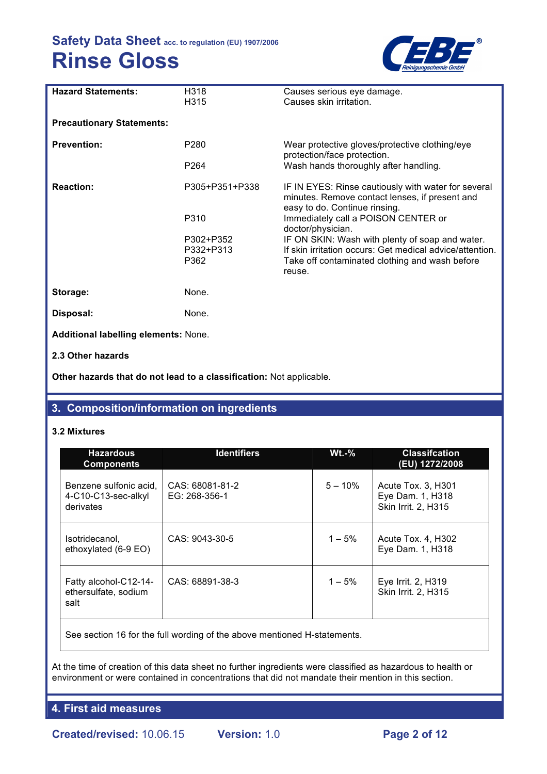

| <b>Hazard Statements:</b>            | H318<br>H315     | Causes serious eye damage.<br>Causes skin irritation.                                                                                  |  |  |
|--------------------------------------|------------------|----------------------------------------------------------------------------------------------------------------------------------------|--|--|
| <b>Precautionary Statements:</b>     |                  |                                                                                                                                        |  |  |
| <b>Prevention:</b>                   | P <sub>280</sub> | Wear protective gloves/protective clothing/eye<br>protection/face protection.                                                          |  |  |
|                                      | P264             | Wash hands thoroughly after handling.                                                                                                  |  |  |
| <b>Reaction:</b>                     | P305+P351+P338   | IF IN EYES: Rinse cautiously with water for several<br>minutes. Remove contact lenses, if present and<br>easy to do. Continue rinsing. |  |  |
|                                      | P310             | Immediately call a POISON CENTER or<br>doctor/physician.                                                                               |  |  |
|                                      | P302+P352        | IF ON SKIN: Wash with plenty of soap and water.                                                                                        |  |  |
|                                      | P332+P313        | If skin irritation occurs: Get medical advice/attention.                                                                               |  |  |
|                                      | P362             | Take off contaminated clothing and wash before<br>reuse.                                                                               |  |  |
| Storage:                             | None.            |                                                                                                                                        |  |  |
| Disposal:                            | None.            |                                                                                                                                        |  |  |
| Additional labelling elements: None. |                  |                                                                                                                                        |  |  |
| 2.3 Other hazards                    |                  |                                                                                                                                        |  |  |

**Other hazards that do not lead to a classification:** Not applicable.

# **3. Composition/information on ingredients**

## **3.2 Mixtures**

| <b>Hazardous</b><br><b>Components</b>                      | <b>Identifiers</b>               | $Wt.-%$   | <b>Classifcation</b><br>(EU) 1272/2008                        |
|------------------------------------------------------------|----------------------------------|-----------|---------------------------------------------------------------|
| Benzene sulfonic acid,<br>4-C10-C13-sec-alkyl<br>derivates | CAS: 68081-81-2<br>EG: 268-356-1 | $5 - 10%$ | Acute Tox. 3, H301<br>Eye Dam. 1, H318<br>Skin Irrit. 2, H315 |
| Isotridecanol,<br>ethoxylated (6-9 EO)                     | CAS: 9043-30-5                   | $1 - 5%$  | Acute Tox. 4, H302<br>Eye Dam. 1, H318                        |
| Fatty alcohol-C12-14-<br>ethersulfate, sodium<br>salt      | CAS: 68891-38-3                  | $1 - 5%$  | Eye Irrit. 2, H319<br>Skin Irrit. 2, H315                     |

See section 16 for the full wording of the above mentioned H-statements.

At the time of creation of this data sheet no further ingredients were classified as hazardous to health or environment or were contained in concentrations that did not mandate their mention in this section.

**4. First aid measures**

**Created/revised:** 10.06.15 **Version:** 1.0 **Page 2 of 12**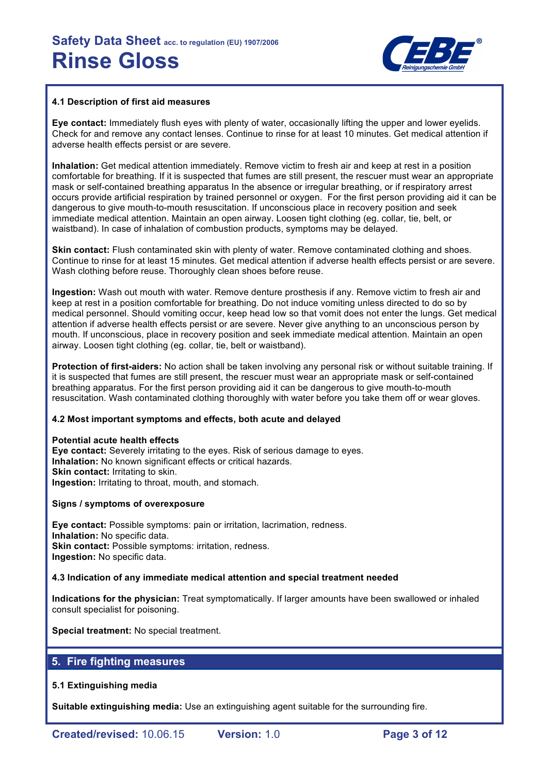

#### **4.1 Description of first aid measures**

**Eye contact:** Immediately flush eyes with plenty of water, occasionally lifting the upper and lower eyelids. Check for and remove any contact lenses. Continue to rinse for at least 10 minutes. Get medical attention if adverse health effects persist or are severe.

**Inhalation:** Get medical attention immediately. Remove victim to fresh air and keep at rest in a position comfortable for breathing. If it is suspected that fumes are still present, the rescuer must wear an appropriate mask or self-contained breathing apparatus In the absence or irregular breathing, or if respiratory arrest occurs provide artificial respiration by trained personnel or oxygen. For the first person providing aid it can be dangerous to give mouth-to-mouth resuscitation. If unconscious place in recovery position and seek immediate medical attention. Maintain an open airway. Loosen tight clothing (eg. collar, tie, belt, or waistband). In case of inhalation of combustion products, symptoms may be delayed.

**Skin contact:** Flush contaminated skin with plenty of water. Remove contaminated clothing and shoes. Continue to rinse for at least 15 minutes. Get medical attention if adverse health effects persist or are severe. Wash clothing before reuse. Thoroughly clean shoes before reuse.

**Ingestion:** Wash out mouth with water. Remove denture prosthesis if any. Remove victim to fresh air and keep at rest in a position comfortable for breathing. Do not induce vomiting unless directed to do so by medical personnel. Should vomiting occur, keep head low so that vomit does not enter the lungs. Get medical attention if adverse health effects persist or are severe. Never give anything to an unconscious person by mouth. If unconscious, place in recovery position and seek immediate medical attention. Maintain an open airway. Loosen tight clothing (eg. collar, tie, belt or waistband).

**Protection of first-aiders:** No action shall be taken involving any personal risk or without suitable training. If it is suspected that fumes are still present, the rescuer must wear an appropriate mask or self-contained breathing apparatus. For the first person providing aid it can be dangerous to give mouth-to-mouth resuscitation. Wash contaminated clothing thoroughly with water before you take them off or wear gloves.

#### **4.2 Most important symptoms and effects, both acute and delayed**

**Potential acute health effects Eye contact:** Severely irritating to the eyes. Risk of serious damage to eyes. **Inhalation:** No known significant effects or critical hazards. **Skin contact: Irritating to skin. Ingestion:** Irritating to throat, mouth, and stomach.

#### **Signs / symptoms of overexposure**

**Eye contact:** Possible symptoms: pain or irritation, lacrimation, redness. **Inhalation:** No specific data. **Skin contact:** Possible symptoms: irritation, redness. **Ingestion:** No specific data.

#### **4.3 Indication of any immediate medical attention and special treatment needed**

**Indications for the physician:** Treat symptomatically. If larger amounts have been swallowed or inhaled consult specialist for poisoning.

**Special treatment:** No special treatment.

# **5. Fire fighting measures**

## **5.1 Extinguishing media**

**Suitable extinguishing media:** Use an extinguishing agent suitable for the surrounding fire.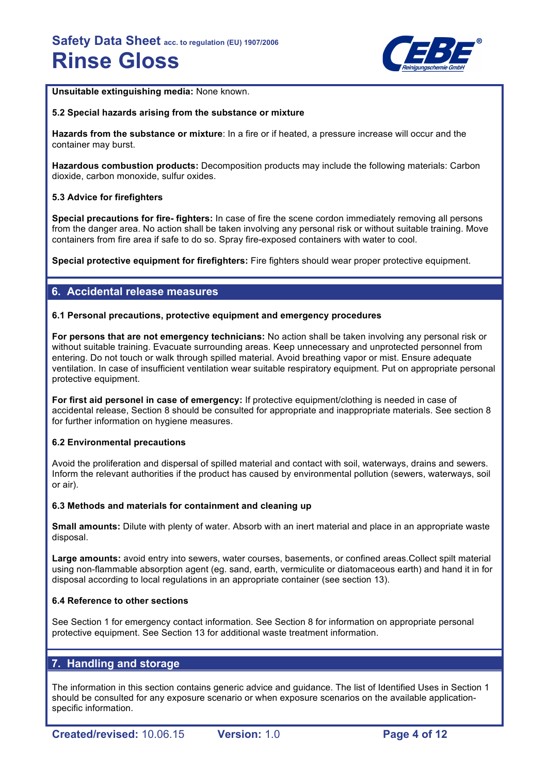

**Unsuitable extinguishing media:** None known.

#### **5.2 Special hazards arising from the substance or mixture**

**Hazards from the substance or mixture**: In a fire or if heated, a pressure increase will occur and the container may burst.

**Hazardous combustion products:** Decomposition products may include the following materials: Carbon dioxide, carbon monoxide, sulfur oxides.

## **5.3 Advice for firefighters**

**Special precautions for fire- fighters:** In case of fire the scene cordon immediately removing all persons from the danger area. No action shall be taken involving any personal risk or without suitable training. Move containers from fire area if safe to do so. Spray fire-exposed containers with water to cool.

**Special protective equipment for firefighters:** Fire fighters should wear proper protective equipment.

# **6. Accidental release measures**

#### **6.1 Personal precautions, protective equipment and emergency procedures**

**For persons that are not emergency technicians:** No action shall be taken involving any personal risk or without suitable training. Evacuate surrounding areas. Keep unnecessary and unprotected personnel from entering. Do not touch or walk through spilled material. Avoid breathing vapor or mist. Ensure adequate ventilation. In case of insufficient ventilation wear suitable respiratory equipment. Put on appropriate personal protective equipment.

**For first aid personel in case of emergency:** If protective equipment/clothing is needed in case of accidental release, Section 8 should be consulted for appropriate and inappropriate materials. See section 8 for further information on hygiene measures.

## **6.2 Environmental precautions**

Avoid the proliferation and dispersal of spilled material and contact with soil, waterways, drains and sewers. Inform the relevant authorities if the product has caused by environmental pollution (sewers, waterways, soil or air).

#### **6.3 Methods and materials for containment and cleaning up**

**Small amounts:** Dilute with plenty of water. Absorb with an inert material and place in an appropriate waste disposal.

**Large amounts:** avoid entry into sewers, water courses, basements, or confined areas.Collect spilt material using non-flammable absorption agent (eg. sand, earth, vermiculite or diatomaceous earth) and hand it in for disposal according to local regulations in an appropriate container (see section 13).

#### **6.4 Reference to other sections**

See Section 1 for emergency contact information. See Section 8 for information on appropriate personal protective equipment. See Section 13 for additional waste treatment information.

# **7. Handling and storage**

The information in this section contains generic advice and guidance. The list of Identified Uses in Section 1 should be consulted for any exposure scenario or when exposure scenarios on the available applicationspecific information.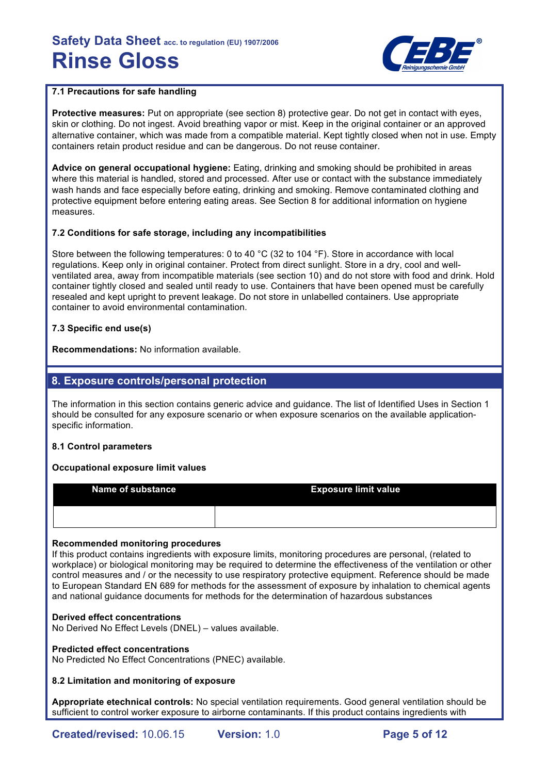

# **7.1 Precautions for safe handling**

**Protective measures:** Put on appropriate (see section 8) protective gear. Do not get in contact with eyes, skin or clothing. Do not ingest. Avoid breathing vapor or mist. Keep in the original container or an approved alternative container, which was made from a compatible material. Kept tightly closed when not in use. Empty containers retain product residue and can be dangerous. Do not reuse container.

**Advice on general occupational hygiene:** Eating, drinking and smoking should be prohibited in areas where this material is handled, stored and processed. After use or contact with the substance immediately wash hands and face especially before eating, drinking and smoking. Remove contaminated clothing and protective equipment before entering eating areas. See Section 8 for additional information on hygiene measures.

# **7.2 Conditions for safe storage, including any incompatibilities**

Store between the following temperatures: 0 to 40 °C (32 to 104 °F). Store in accordance with local regulations. Keep only in original container. Protect from direct sunlight. Store in a dry, cool and wellventilated area, away from incompatible materials (see section 10) and do not store with food and drink. Hold container tightly closed and sealed until ready to use. Containers that have been opened must be carefully resealed and kept upright to prevent leakage. Do not store in unlabelled containers. Use appropriate container to avoid environmental contamination.

# **7.3 Specific end use(s)**

**Recommendations:** No information available.

# **8. Exposure controls/personal protection**

The information in this section contains generic advice and guidance. The list of Identified Uses in Section 1 should be consulted for any exposure scenario or when exposure scenarios on the available applicationspecific information.

## **8.1 Control parameters**

## **Occupational exposure limit values**

| <b>Name of substance</b> | <b>Exposure limit value</b> |
|--------------------------|-----------------------------|
|                          |                             |

## **Recommended monitoring procedures**

If this product contains ingredients with exposure limits, monitoring procedures are personal, (related to workplace) or biological monitoring may be required to determine the effectiveness of the ventilation or other control measures and / or the necessity to use respiratory protective equipment. Reference should be made to European Standard EN 689 for methods for the assessment of exposure by inhalation to chemical agents and national guidance documents for methods for the determination of hazardous substances

## **Derived effect concentrations**

No Derived No Effect Levels (DNEL) – values available.

## **Predicted effect concentrations**

No Predicted No Effect Concentrations (PNEC) available.

## **8.2 Limitation and monitoring of exposure**

**Appropriate etechnical controls:** No special ventilation requirements. Good general ventilation should be sufficient to control worker exposure to airborne contaminants. If this product contains ingredients with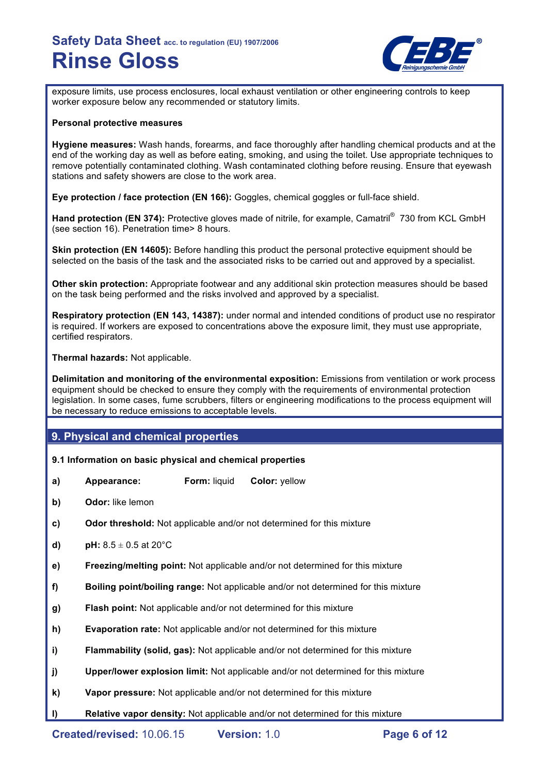

exposure limits, use process enclosures, local exhaust ventilation or other engineering controls to keep worker exposure below any recommended or statutory limits.

#### **Personal protective measures**

**Hygiene measures:** Wash hands, forearms, and face thoroughly after handling chemical products and at the end of the working day as well as before eating, smoking, and using the toilet. Use appropriate techniques to remove potentially contaminated clothing. Wash contaminated clothing before reusing. Ensure that eyewash stations and safety showers are close to the work area.

**Eye protection / face protection (EN 166):** Goggles, chemical goggles or full-face shield.

**Hand protection (EN 374):** Protective gloves made of nitrile, for example, Camatril<sup>®</sup> 730 from KCL GmbH (see section 16). Penetration time> 8 hours.

**Skin protection (EN 14605):** Before handling this product the personal protective equipment should be selected on the basis of the task and the associated risks to be carried out and approved by a specialist.

**Other skin protection:** Appropriate footwear and any additional skin protection measures should be based on the task being performed and the risks involved and approved by a specialist.

**Respiratory protection (EN 143, 14387):** under normal and intended conditions of product use no respirator is required. If workers are exposed to concentrations above the exposure limit, they must use appropriate, certified respirators.

**Thermal hazards:** Not applicable.

**Delimitation and monitoring of the environmental exposition:** Emissions from ventilation or work process equipment should be checked to ensure they comply with the requirements of environmental protection legislation. In some cases, fume scrubbers, filters or engineering modifications to the process equipment will be necessary to reduce emissions to acceptable levels.

# **9. Physical and chemical properties**

## **9.1 Information on basic physical and chemical properties**

- **a) Appearance: Form:** liquid **Color:** yellow
- **b) Odor:** like lemon
- **c) Odor threshold:** Not applicable and/or not determined for this mixture
- **d) pH:**  $8.5 \pm 0.5$  at 20 $^{\circ}$ C
- **e) Freezing/melting point:** Not applicable and/or not determined for this mixture
- **f) Boiling point/boiling range:** Not applicable and/or not determined for this mixture
- **g) Flash point:** Not applicable and/or not determined for this mixture
- **h) Evaporation rate:** Not applicable and/or not determined for this mixture
- **i) Flammability (solid, gas):** Not applicable and/or not determined for this mixture
- **j) Upper/lower explosion limit:** Not applicable and/or not determined for this mixture
- **k) Vapor pressure:** Not applicable and/or not determined for this mixture
- **l) Relative vapor density:** Not applicable and/or not determined for this mixture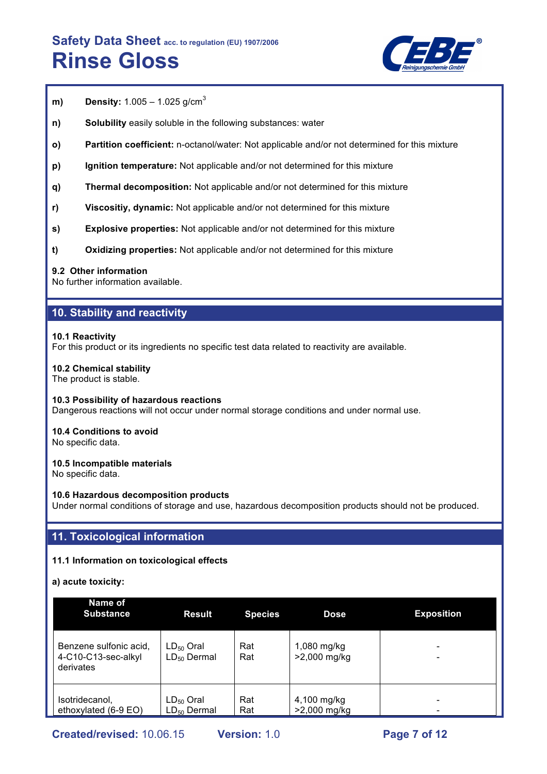

- **m) Density:** 1.005 1.025 g/cm<sup>3</sup>
- **n) Solubility** easily soluble in the following substances: water
- **o) Partition coefficient:** n-octanol/water: Not applicable and/or not determined for this mixture
- **p) Ignition temperature:** Not applicable and/or not determined for this mixture
- **q) Thermal decomposition:** Not applicable and/or not determined for this mixture
- **r) Viscositiy, dynamic:** Not applicable and/or not determined for this mixture
- **s) Explosive properties:** Not applicable and/or not determined for this mixture
- **t) Oxidizing properties:** Not applicable and/or not determined for this mixture

#### **9.2 Other information**

No further information available.

# **10. Stability and reactivity**

#### **10.1 Reactivity**

For this product or its ingredients no specific test data related to reactivity are available.

#### **10.2 Chemical stability**

The product is stable.

#### **10.3 Possibility of hazardous reactions**

Dangerous reactions will not occur under normal storage conditions and under normal use.

## **10.4 Conditions to avoid**

No specific data.

#### **10.5 Incompatible materials**

No specific data.

#### **10.6 Hazardous decomposition products**

Under normal conditions of storage and use, hazardous decomposition products should not be produced.

# **11. Toxicological information**

## **11.1 Information on toxicological effects**

**a) acute toxicity:**

| Name of<br><b>Substance</b>                                | <b>Result</b>                      | <b>Species</b> | <b>Dose</b>                 | <b>Exposition</b> |
|------------------------------------------------------------|------------------------------------|----------------|-----------------------------|-------------------|
| Benzene sulfonic acid,<br>4-C10-C13-sec-alkyl<br>derivates | $LD_{50}$ Oral<br>$LD_{50}$ Dermal | Rat<br>Rat     | 1,080 mg/kg<br>>2,000 mg/kg |                   |
| Isotridecanol,<br>ethoxylated (6-9 EO)                     | $LD_{50}$ Oral<br>$LD_{50}$ Dermal | Rat<br>Rat     | 4,100 mg/kg<br>>2,000 mg/kg |                   |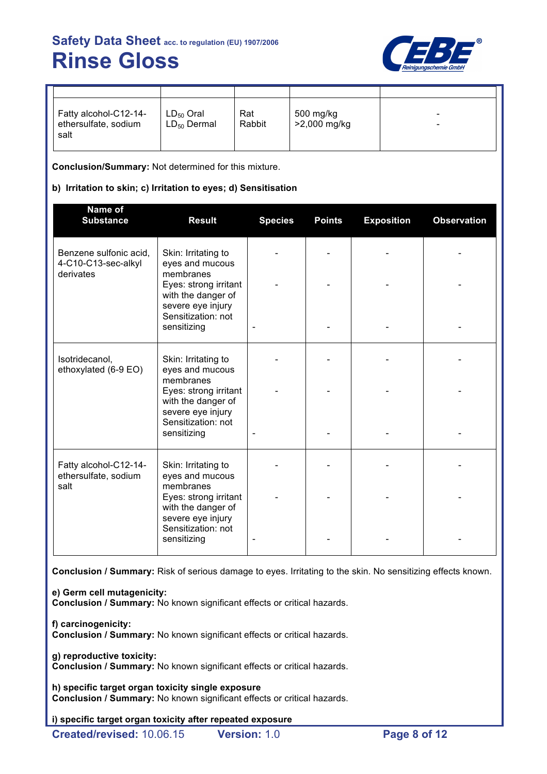

| Fatty alcohol-C12-14-<br>ethersulfate, sodium<br>salt | $LD_{50}$ Oral<br>$LD_{50}$ Dermal | Rat<br>Rabbit | 500 mg/kg<br>>2,000 mg/kg | -<br>- |
|-------------------------------------------------------|------------------------------------|---------------|---------------------------|--------|

**Conclusion/Summary:** Not determined for this mixture.

# **b) Irritation to skin; c) Irritation to eyes; d) Sensitisation**

| Name of<br><b>Substance</b>                                | <b>Result</b>                                                                          | <b>Species</b> | <b>Points</b> | <b>Exposition</b> | <b>Observation</b> |
|------------------------------------------------------------|----------------------------------------------------------------------------------------|----------------|---------------|-------------------|--------------------|
| Benzene sulfonic acid,<br>4-C10-C13-sec-alkyl<br>derivates | Skin: Irritating to<br>eyes and mucous<br>membranes                                    |                |               |                   |                    |
|                                                            | Eyes: strong irritant<br>with the danger of<br>severe eye injury<br>Sensitization: not |                |               |                   |                    |
|                                                            | sensitizing                                                                            |                |               |                   |                    |
| Isotridecanol,<br>ethoxylated (6-9 EO)                     | Skin: Irritating to<br>eyes and mucous                                                 |                |               |                   |                    |
|                                                            | membranes<br>Eyes: strong irritant<br>with the danger of<br>severe eye injury          |                |               |                   |                    |
|                                                            | Sensitization: not<br>sensitizing                                                      |                |               |                   |                    |
| Fatty alcohol-C12-14-<br>ethersulfate, sodium              | Skin: Irritating to<br>eyes and mucous                                                 |                |               |                   |                    |
| salt                                                       | membranes<br>Eyes: strong irritant<br>with the danger of                               |                |               |                   |                    |
|                                                            | severe eye injury<br>Sensitization: not<br>sensitizing                                 |                |               |                   |                    |

**Conclusion / Summary:** Risk of serious damage to eyes. Irritating to the skin. No sensitizing effects known.

**e) Germ cell mutagenicity:**

**Conclusion / Summary:** No known significant effects or critical hazards.

**f) carcinogenicity:**

**Conclusion / Summary:** No known significant effects or critical hazards.

**g) reproductive toxicity:**

**Conclusion / Summary:** No known significant effects or critical hazards.

**h) specific target organ toxicity single exposure Conclusion / Summary:** No known significant effects or critical hazards.

**i) specific target organ toxicity after repeated exposure**

**Created/revised:** 10.06.15 **Version:** 1.0 **Page 8 of 12**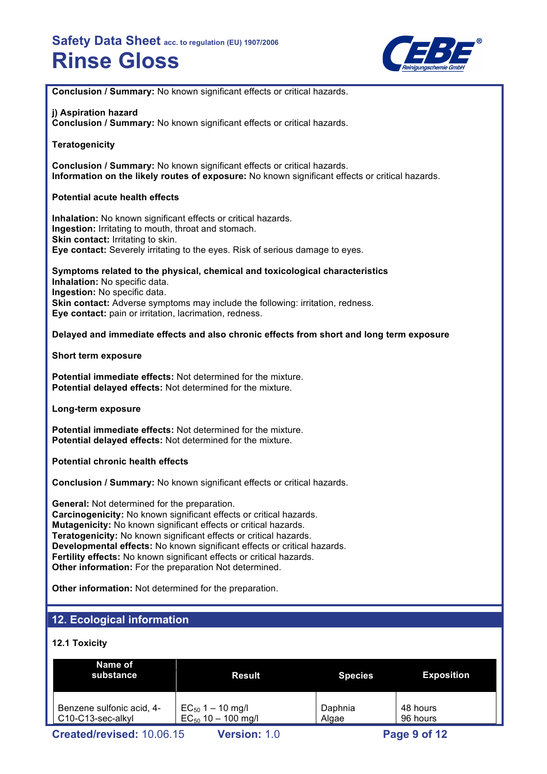

**Conclusion / Summary:** No known significant effects or critical hazards.

## **j) Aspiration hazard**

**Conclusion / Summary:** No known significant effects or critical hazards.

**Teratogenicity**

**Conclusion / Summary:** No known significant effects or critical hazards. **Information on the likely routes of exposure:** No known significant effects or critical hazards.

## **Potential acute health effects**

**Inhalation:** No known significant effects or critical hazards. **Ingestion:** Irritating to mouth, throat and stomach. **Skin contact: Irritating to skin. Eye contact:** Severely irritating to the eyes. Risk of serious damage to eyes.

**Symptoms related to the physical, chemical and toxicological characteristics Inhalation:** No specific data. **Ingestion:** No specific data. **Skin contact:** Adverse symptoms may include the following: irritation, redness. **Eye contact:** pain or irritation, lacrimation, redness.

## **Delayed and immediate effects and also chronic effects from short and long term exposure**

#### **Short term exposure**

**Potential immediate effects:** Not determined for the mixture. **Potential delayed effects:** Not determined for the mixture.

**Long-term exposure**

**Potential immediate effects:** Not determined for the mixture. **Potential delayed effects:** Not determined for the mixture.

#### **Potential chronic health effects**

**Conclusion / Summary:** No known significant effects or critical hazards.

**General:** Not determined for the preparation. **Carcinogenicity:** No known significant effects or critical hazards. **Mutagenicity:** No known significant effects or critical hazards. **Teratogenicity:** No known significant effects or critical hazards. **Developmental effects:** No known significant effects or critical hazards. **Fertility effects:** No known significant effects or critical hazards. **Other information:** For the preparation Not determined.

**Other information:** Not determined for the preparation.

# **12. Ecological information**

## **12.1 Toxicity**

| Name of<br>substance                                                     | Result                                           | <b>Species</b>   | <b>Exposition</b>    |  |
|--------------------------------------------------------------------------|--------------------------------------------------|------------------|----------------------|--|
| Benzene sulfonic acid, 4-<br>C <sub>10</sub> -C <sub>13</sub> -sec-alkyl | $EC_{50}$ 1 – 10 mg/l<br>$EC_{50}$ 10 - 100 mg/l | Daphnia<br>Algae | 48 hours<br>96 hours |  |
| Created/revised: 10.06.15<br>Page 9 of 12<br><b>Version: 1.0</b>         |                                                  |                  |                      |  |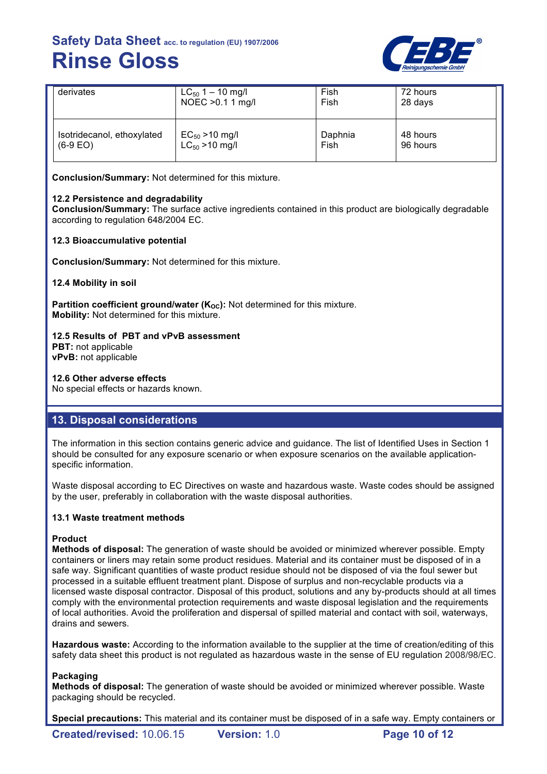

| derivates                  | $LC_{50}$ 1 – 10 mg/l | Fish    | 72 hours |
|----------------------------|-----------------------|---------|----------|
|                            | NOEC > 0.1 1 mg/l     | Fish    | 28 days  |
| Isotridecanol, ethoxylated | $EC_{50} > 10$ mg/l   | Daphnia | 48 hours |
| $(6-9)$ EO)                | $LC_{50} > 10$ mg/l   | Fish    | 96 hours |

**Conclusion/Summary:** Not determined for this mixture.

# **12.2 Persistence and degradability**

**Conclusion/Summary:** The surface active ingredients contained in this product are biologically degradable according to regulation 648/2004 EC.

# **12.3 Bioaccumulative potential**

**Conclusion/Summary:** Not determined for this mixture.

**12.4 Mobility in soil**

**Partition coefficient ground/water (K<sub>OC</sub>):** Not determined for this mixture. **Mobility:** Not determined for this mixture.

# **12.5 Results of PBT and vPvB assessment**

**PBT:** not applicable **vPvB:** not applicable

## **12.6 Other adverse effects**

No special effects or hazards known.

# **13. Disposal considerations**

The information in this section contains generic advice and guidance. The list of Identified Uses in Section 1 should be consulted for any exposure scenario or when exposure scenarios on the available applicationspecific information.

Waste disposal according to EC Directives on waste and hazardous waste. Waste codes should be assigned by the user, preferably in collaboration with the waste disposal authorities.

## **13.1 Waste treatment methods**

## **Product**

**Methods of disposal:** The generation of waste should be avoided or minimized wherever possible. Empty containers or liners may retain some product residues. Material and its container must be disposed of in a safe way. Significant quantities of waste product residue should not be disposed of via the foul sewer but processed in a suitable effluent treatment plant. Dispose of surplus and non-recyclable products via a licensed waste disposal contractor. Disposal of this product, solutions and any by-products should at all times comply with the environmental protection requirements and waste disposal legislation and the requirements of local authorities. Avoid the proliferation and dispersal of spilled material and contact with soil, waterways, drains and sewers.

**Hazardous waste:** According to the information available to the supplier at the time of creation/editing of this safety data sheet this product is not regulated as hazardous waste in the sense of EU regulation 2008/98/EC.

## **Packaging**

**Methods of disposal:** The generation of waste should be avoided or minimized wherever possible. Waste packaging should be recycled.

**Special precautions:** This material and its container must be disposed of in a safe way. Empty containers or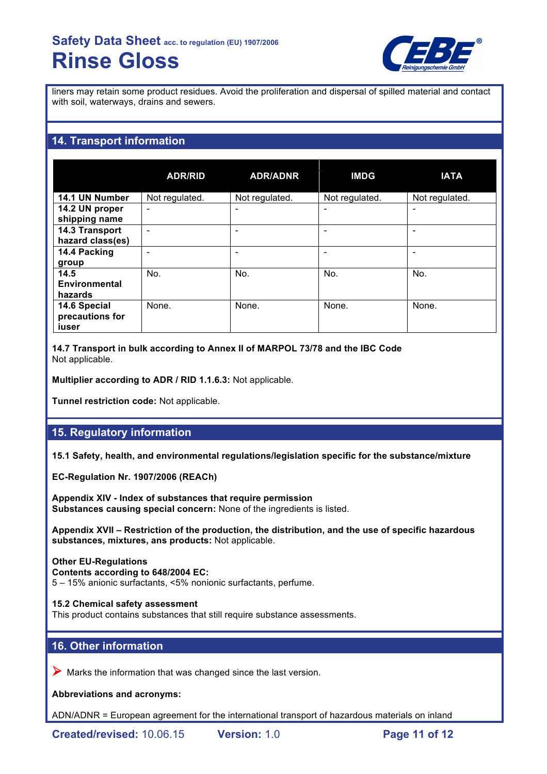

liners may retain some product residues. Avoid the proliferation and dispersal of spilled material and contact with soil, waterways, drains and sewers.

# **14. Transport information**

|                                          | <b>ADR/RID</b>           | <b>ADR/ADNR</b> | <b>IMDG</b>    | <b>IATA</b>    |
|------------------------------------------|--------------------------|-----------------|----------------|----------------|
| 14.1 UN Number                           | Not regulated.           | Not regulated.  | Not regulated. | Not regulated. |
| 14.2 UN proper<br>shipping name          | $\overline{\phantom{0}}$ | -               |                |                |
| 14.3 Transport<br>hazard class(es)       |                          |                 |                |                |
| 14.4 Packing<br>group                    |                          |                 |                |                |
| 14.5<br><b>Environmental</b><br>hazards  | No.                      | No.             | No.            | No.            |
| 14.6 Special<br>precautions for<br>iuser | None.                    | None.           | None.          | None.          |

**14.7 Transport in bulk according to Annex II of MARPOL 73/78 and the IBC Code** Not applicable.

**Multiplier according to ADR / RID 1.1.6.3:** Not applicable.

**Tunnel restriction code:** Not applicable.

# **15. Regulatory information**

**15.1 Safety, health, and environmental regulations/legislation specific for the substance/mixture**

**EC-Regulation Nr. 1907/2006 (REACh)**

**Appendix XIV - Index of substances that require permission Substances causing special concern:** None of the ingredients is listed.

**Appendix XVII – Restriction of the production, the distribution, and the use of specific hazardous substances, mixtures, ans products:** Not applicable.

# **Other EU-Regulations**

**Contents according to 648/2004 EC:** 5 – 15% anionic surfactants, <5% nonionic surfactants, perfume.

**15.2 Chemical safety assessment**

This product contains substances that still require substance assessments.

# **16. Other information**

 $\triangleright$  Marks the information that was changed since the last version.

**Abbreviations and acronyms:**

ADN/ADNR = European agreement for the international transport of hazardous materials on inland